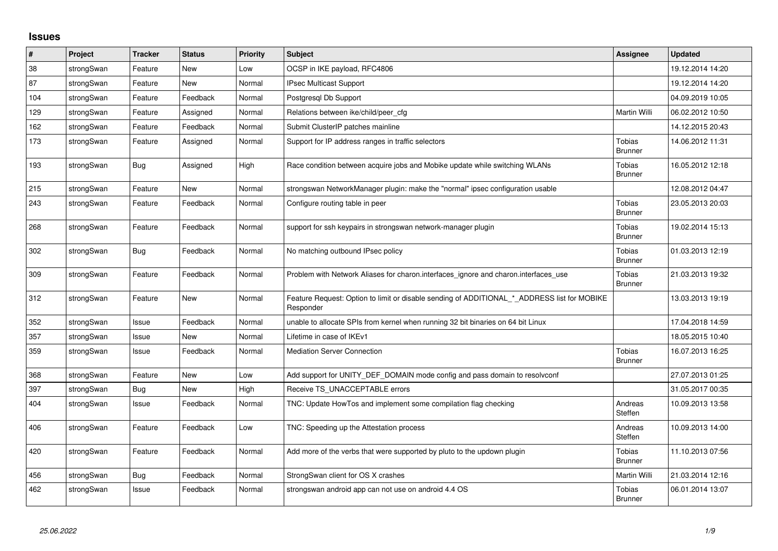## **Issues**

| #   | Project    | <b>Tracker</b> | <b>Status</b> | <b>Priority</b> | <b>Subject</b>                                                                                           | <b>Assignee</b>                 | <b>Updated</b>   |
|-----|------------|----------------|---------------|-----------------|----------------------------------------------------------------------------------------------------------|---------------------------------|------------------|
| 38  | strongSwan | Feature        | New           | Low             | OCSP in IKE payload, RFC4806                                                                             |                                 | 19.12.2014 14:20 |
| 87  | strongSwan | Feature        | New           | Normal          | IPsec Multicast Support                                                                                  |                                 | 19.12.2014 14:20 |
| 104 | strongSwan | Feature        | Feedback      | Normal          | Postgresgl Db Support                                                                                    |                                 | 04.09.2019 10:05 |
| 129 | strongSwan | Feature        | Assigned      | Normal          | Relations between ike/child/peer_cfg                                                                     | Martin Willi                    | 06.02.2012 10:50 |
| 162 | strongSwan | Feature        | Feedback      | Normal          | Submit ClusterIP patches mainline                                                                        |                                 | 14.12.2015 20:43 |
| 173 | strongSwan | Feature        | Assigned      | Normal          | Support for IP address ranges in traffic selectors                                                       | Tobias<br><b>Brunner</b>        | 14.06.2012 11:31 |
| 193 | strongSwan | <b>Bug</b>     | Assigned      | High            | Race condition between acquire jobs and Mobike update while switching WLANs                              | <b>Tobias</b><br><b>Brunner</b> | 16.05.2012 12:18 |
| 215 | strongSwan | Feature        | <b>New</b>    | Normal          | strongswan NetworkManager plugin: make the "normal" ipsec configuration usable                           |                                 | 12.08.2012 04:47 |
| 243 | strongSwan | Feature        | Feedback      | Normal          | Configure routing table in peer                                                                          | <b>Tobias</b><br><b>Brunner</b> | 23.05.2013 20:03 |
| 268 | strongSwan | Feature        | Feedback      | Normal          | support for ssh keypairs in strongswan network-manager plugin                                            | Tobias<br><b>Brunner</b>        | 19.02.2014 15:13 |
| 302 | strongSwan | <b>Bug</b>     | Feedback      | Normal          | No matching outbound IPsec policy                                                                        | Tobias<br><b>Brunner</b>        | 01.03.2013 12:19 |
| 309 | strongSwan | Feature        | Feedback      | Normal          | Problem with Network Aliases for charon.interfaces_ignore and charon.interfaces_use                      | Tobias<br><b>Brunner</b>        | 21.03.2013 19:32 |
| 312 | strongSwan | Feature        | New           | Normal          | Feature Request: Option to limit or disable sending of ADDITIONAL_*_ADDRESS list for MOBIKE<br>Responder |                                 | 13.03.2013 19:19 |
| 352 | strongSwan | Issue          | Feedback      | Normal          | unable to allocate SPIs from kernel when running 32 bit binaries on 64 bit Linux                         |                                 | 17.04.2018 14:59 |
| 357 | strongSwan | Issue          | <b>New</b>    | Normal          | Lifetime in case of IKEv1                                                                                |                                 | 18.05.2015 10:40 |
| 359 | strongSwan | Issue          | Feedback      | Normal          | <b>Mediation Server Connection</b>                                                                       | Tobias<br><b>Brunner</b>        | 16.07.2013 16:25 |
| 368 | strongSwan | Feature        | <b>New</b>    | Low             | Add support for UNITY_DEF_DOMAIN mode config and pass domain to resolvconf                               |                                 | 27.07.2013 01:25 |
| 397 | strongSwan | Bug            | <b>New</b>    | High            | Receive TS_UNACCEPTABLE errors                                                                           |                                 | 31.05.2017 00:35 |
| 404 | strongSwan | Issue          | Feedback      | Normal          | TNC: Update HowTos and implement some compilation flag checking                                          | Andreas<br>Steffen              | 10.09.2013 13:58 |
| 406 | strongSwan | Feature        | Feedback      | Low             | TNC: Speeding up the Attestation process                                                                 | Andreas<br>Steffen              | 10.09.2013 14:00 |
| 420 | strongSwan | Feature        | Feedback      | Normal          | Add more of the verbs that were supported by pluto to the updown plugin                                  | <b>Tobias</b><br><b>Brunner</b> | 11.10.2013 07:56 |
| 456 | strongSwan | Bug            | Feedback      | Normal          | StrongSwan client for OS X crashes                                                                       | Martin Willi                    | 21.03.2014 12:16 |
| 462 | strongSwan | Issue          | Feedback      | Normal          | strongswan android app can not use on android 4.4 OS                                                     | <b>Tobias</b><br><b>Brunner</b> | 06.01.2014 13:07 |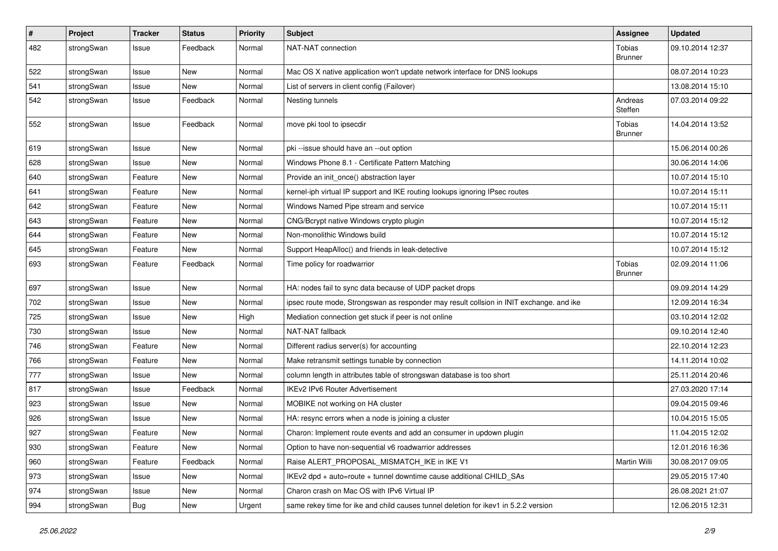| $\sharp$ | Project    | <b>Tracker</b> | <b>Status</b> | <b>Priority</b> | <b>Subject</b>                                                                          | <b>Assignee</b>          | <b>Updated</b>   |
|----------|------------|----------------|---------------|-----------------|-----------------------------------------------------------------------------------------|--------------------------|------------------|
| 482      | strongSwan | Issue          | Feedback      | Normal          | NAT-NAT connection                                                                      | Tobias<br><b>Brunner</b> | 09.10.2014 12:37 |
| 522      | strongSwan | Issue          | <b>New</b>    | Normal          | Mac OS X native application won't update network interface for DNS lookups              |                          | 08.07.2014 10:23 |
| 541      | strongSwan | Issue          | New           | Normal          | List of servers in client config (Failover)                                             |                          | 13.08.2014 15:10 |
| 542      | strongSwan | Issue          | Feedback      | Normal          | Nesting tunnels                                                                         | Andreas<br>Steffen       | 07.03.2014 09:22 |
| 552      | strongSwan | Issue          | Feedback      | Normal          | move pki tool to ipsecdir                                                               | Tobias<br><b>Brunner</b> | 14.04.2014 13:52 |
| 619      | strongSwan | Issue          | <b>New</b>    | Normal          | pki --issue should have an --out option                                                 |                          | 15.06.2014 00:26 |
| 628      | strongSwan | Issue          | <b>New</b>    | Normal          | Windows Phone 8.1 - Certificate Pattern Matching                                        |                          | 30.06.2014 14:06 |
| 640      | strongSwan | Feature        | New           | Normal          | Provide an init_once() abstraction layer                                                |                          | 10.07.2014 15:10 |
| 641      | strongSwan | Feature        | New           | Normal          | kernel-iph virtual IP support and IKE routing lookups ignoring IPsec routes             |                          | 10.07.2014 15:11 |
| 642      | strongSwan | Feature        | <b>New</b>    | Normal          | Windows Named Pipe stream and service                                                   |                          | 10.07.2014 15:11 |
| 643      | strongSwan | Feature        | New           | Normal          | CNG/Bcrypt native Windows crypto plugin                                                 |                          | 10.07.2014 15:12 |
| 644      | strongSwan | Feature        | New           | Normal          | Non-monolithic Windows build                                                            |                          | 10.07.2014 15:12 |
| 645      | strongSwan | Feature        | New           | Normal          | Support HeapAlloc() and friends in leak-detective                                       |                          | 10.07.2014 15:12 |
| 693      | strongSwan | Feature        | Feedback      | Normal          | Time policy for roadwarrior                                                             | Tobias<br><b>Brunner</b> | 02.09.2014 11:06 |
| 697      | strongSwan | Issue          | <b>New</b>    | Normal          | HA: nodes fail to sync data because of UDP packet drops                                 |                          | 09.09.2014 14:29 |
| 702      | strongSwan | Issue          | New           | Normal          | ipsec route mode, Strongswan as responder may result collsion in INIT exchange. and ike |                          | 12.09.2014 16:34 |
| 725      | strongSwan | Issue          | <b>New</b>    | High            | Mediation connection get stuck if peer is not online                                    |                          | 03.10.2014 12:02 |
| 730      | strongSwan | Issue          | New           | Normal          | NAT-NAT fallback                                                                        |                          | 09.10.2014 12:40 |
| 746      | strongSwan | Feature        | New           | Normal          | Different radius server(s) for accounting                                               |                          | 22.10.2014 12:23 |
| 766      | strongSwan | Feature        | New           | Normal          | Make retransmit settings tunable by connection                                          |                          | 14.11.2014 10:02 |
| 777      | strongSwan | Issue          | New           | Normal          | column length in attributes table of strongswan database is too short                   |                          | 25.11.2014 20:46 |
| 817      | strongSwan | Issue          | Feedback      | Normal          | <b>IKEv2 IPv6 Router Advertisement</b>                                                  |                          | 27.03.2020 17:14 |
| 923      | strongSwan | Issue          | New           | Normal          | MOBIKE not working on HA cluster                                                        |                          | 09.04.2015 09:46 |
| 926      | strongSwan | Issue          | <b>New</b>    | Normal          | HA: resync errors when a node is joining a cluster                                      |                          | 10.04.2015 15:05 |
| 927      | strongSwan | Feature        | New           | Normal          | Charon: Implement route events and add an consumer in updown plugin                     |                          | 11.04.2015 12:02 |
| 930      | strongSwan | Feature        | New           | Normal          | Option to have non-sequential v6 roadwarrior addresses                                  |                          | 12.01.2016 16:36 |
| 960      | strongSwan | Feature        | Feedback      | Normal          | Raise ALERT_PROPOSAL_MISMATCH_IKE in IKE V1                                             | Martin Willi             | 30.08.2017 09:05 |
| 973      | strongSwan | Issue          | New           | Normal          | IKEv2 dpd + auto=route + tunnel downtime cause additional CHILD SAs                     |                          | 29.05.2015 17:40 |
| 974      | strongSwan | Issue          | New           | Normal          | Charon crash on Mac OS with IPv6 Virtual IP                                             |                          | 26.08.2021 21:07 |
| 994      | strongSwan | <b>Bug</b>     | New           | Urgent          | same rekey time for ike and child causes tunnel deletion for ikey1 in 5.2.2 version     |                          | 12.06.2015 12:31 |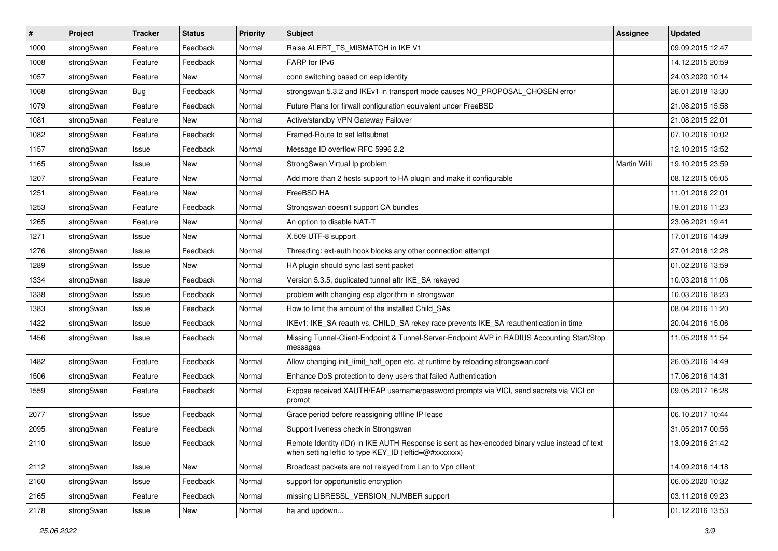| $\vert$ # | Project    | <b>Tracker</b> | <b>Status</b> | Priority | <b>Subject</b>                                                                                                                                          | Assignee     | <b>Updated</b>   |
|-----------|------------|----------------|---------------|----------|---------------------------------------------------------------------------------------------------------------------------------------------------------|--------------|------------------|
| 1000      | strongSwan | Feature        | Feedback      | Normal   | Raise ALERT TS MISMATCH in IKE V1                                                                                                                       |              | 09.09.2015 12:47 |
| 1008      | strongSwan | Feature        | Feedback      | Normal   | FARP for IPv6                                                                                                                                           |              | 14.12.2015 20:59 |
| 1057      | strongSwan | Feature        | New           | Normal   | conn switching based on eap identity                                                                                                                    |              | 24.03.2020 10:14 |
| 1068      | strongSwan | <b>Bug</b>     | Feedback      | Normal   | strongswan 5.3.2 and IKEv1 in transport mode causes NO_PROPOSAL_CHOSEN error                                                                            |              | 26.01.2018 13:30 |
| 1079      | strongSwan | Feature        | Feedback      | Normal   | Future Plans for firwall configuration equivalent under FreeBSD                                                                                         |              | 21.08.2015 15:58 |
| 1081      | strongSwan | Feature        | New           | Normal   | Active/standby VPN Gateway Failover                                                                                                                     |              | 21.08.2015 22:01 |
| 1082      | strongSwan | Feature        | Feedback      | Normal   | Framed-Route to set leftsubnet                                                                                                                          |              | 07.10.2016 10:02 |
| 1157      | strongSwan | Issue          | Feedback      | Normal   | Message ID overflow RFC 5996 2.2                                                                                                                        |              | 12.10.2015 13:52 |
| 1165      | strongSwan | Issue          | New           | Normal   | StrongSwan Virtual Ip problem                                                                                                                           | Martin Willi | 19.10.2015 23:59 |
| 1207      | strongSwan | Feature        | New           | Normal   | Add more than 2 hosts support to HA plugin and make it configurable                                                                                     |              | 08.12.2015 05:05 |
| 1251      | strongSwan | Feature        | New           | Normal   | FreeBSD HA                                                                                                                                              |              | 11.01.2016 22:01 |
| 1253      | strongSwan | Feature        | Feedback      | Normal   | Strongswan doesn't support CA bundles                                                                                                                   |              | 19.01.2016 11:23 |
| 1265      | strongSwan | Feature        | New           | Normal   | An option to disable NAT-T                                                                                                                              |              | 23.06.2021 19:41 |
| 1271      | strongSwan | Issue          | New           | Normal   | X.509 UTF-8 support                                                                                                                                     |              | 17.01.2016 14:39 |
| 1276      | strongSwan | Issue          | Feedback      | Normal   | Threading: ext-auth hook blocks any other connection attempt                                                                                            |              | 27.01.2016 12:28 |
| 1289      | strongSwan | Issue          | New           | Normal   | HA plugin should sync last sent packet                                                                                                                  |              | 01.02.2016 13:59 |
| 1334      | strongSwan | Issue          | Feedback      | Normal   | Version 5.3.5, duplicated tunnel aftr IKE_SA rekeyed                                                                                                    |              | 10.03.2016 11:06 |
| 1338      | strongSwan | Issue          | Feedback      | Normal   | problem with changing esp algorithm in strongswan                                                                                                       |              | 10.03.2016 18:23 |
| 1383      | strongSwan | Issue          | Feedback      | Normal   | How to limit the amount of the installed Child_SAs                                                                                                      |              | 08.04.2016 11:20 |
| 1422      | strongSwan | Issue          | Feedback      | Normal   | IKEv1: IKE_SA reauth vs. CHILD_SA rekey race prevents IKE_SA reauthentication in time                                                                   |              | 20.04.2016 15:06 |
| 1456      | strongSwan | Issue          | Feedback      | Normal   | Missing Tunnel-Client-Endpoint & Tunnel-Server-Endpoint AVP in RADIUS Accounting Start/Stop<br>messages                                                 |              | 11.05.2016 11:54 |
| 1482      | strongSwan | Feature        | Feedback      | Normal   | Allow changing init_limit_half_open etc. at runtime by reloading strongswan.conf                                                                        |              | 26.05.2016 14:49 |
| 1506      | strongSwan | Feature        | Feedback      | Normal   | Enhance DoS protection to deny users that failed Authentication                                                                                         |              | 17.06.2016 14:31 |
| 1559      | strongSwan | Feature        | Feedback      | Normal   | Expose received XAUTH/EAP username/password prompts via VICI, send secrets via VICI on<br>prompt                                                        |              | 09.05.2017 16:28 |
| 2077      | strongSwan | Issue          | Feedback      | Normal   | Grace period before reassigning offline IP lease                                                                                                        |              | 06.10.2017 10:44 |
| 2095      | strongSwan | Feature        | Feedback      | Normal   | Support liveness check in Strongswan                                                                                                                    |              | 31.05.2017 00:56 |
| 2110      | strongSwan | Issue          | Feedback      | Normal   | Remote Identity (IDr) in IKE AUTH Response is sent as hex-encoded binary value instead of text<br>when setting leftid to type KEY_ID (leftid=@#xxxxxxx) |              | 13.09.2016 21:42 |
| 2112      | strongSwan | Issue          | New           | Normal   | Broadcast packets are not relayed from Lan to Vpn clilent                                                                                               |              | 14.09.2016 14:18 |
| 2160      | strongSwan | Issue          | Feedback      | Normal   | support for opportunistic encryption                                                                                                                    |              | 06.05.2020 10:32 |
| 2165      | strongSwan | Feature        | Feedback      | Normal   | missing LIBRESSL VERSION NUMBER support                                                                                                                 |              | 03.11.2016 09:23 |
| 2178      | strongSwan | Issue          | New           | Normal   | ha and updown                                                                                                                                           |              | 01.12.2016 13:53 |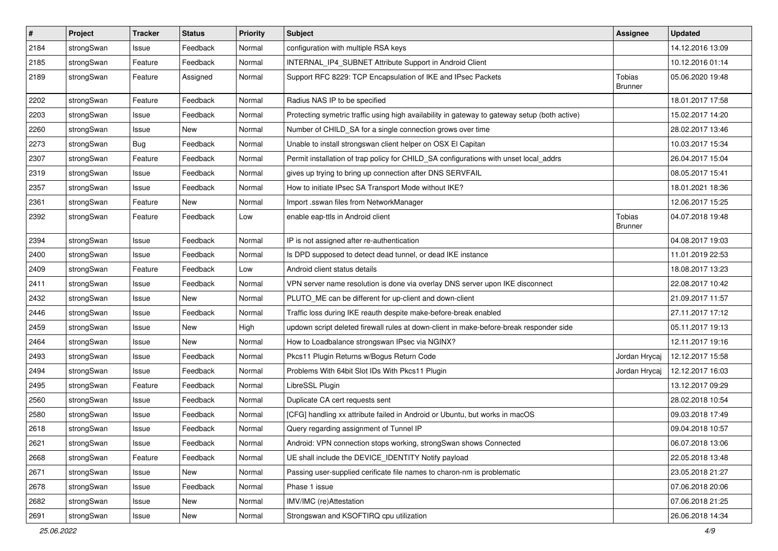| $\vert$ # | Project    | <b>Tracker</b> | <b>Status</b> | <b>Priority</b> | <b>Subject</b>                                                                                | <b>Assignee</b>                 | <b>Updated</b>   |
|-----------|------------|----------------|---------------|-----------------|-----------------------------------------------------------------------------------------------|---------------------------------|------------------|
| 2184      | strongSwan | Issue          | Feedback      | Normal          | configuration with multiple RSA keys                                                          |                                 | 14.12.2016 13:09 |
| 2185      | strongSwan | Feature        | Feedback      | Normal          | INTERNAL_IP4_SUBNET Attribute Support in Android Client                                       |                                 | 10.12.2016 01:14 |
| 2189      | strongSwan | Feature        | Assigned      | Normal          | Support RFC 8229: TCP Encapsulation of IKE and IPsec Packets                                  | <b>Tobias</b><br><b>Brunner</b> | 05.06.2020 19:48 |
| 2202      | strongSwan | Feature        | Feedback      | Normal          | Radius NAS IP to be specified                                                                 |                                 | 18.01.2017 17:58 |
| 2203      | strongSwan | Issue          | Feedback      | Normal          | Protecting symetric traffic using high availability in gateway to gateway setup (both active) |                                 | 15.02.2017 14:20 |
| 2260      | strongSwan | Issue          | New           | Normal          | Number of CHILD_SA for a single connection grows over time                                    |                                 | 28.02.2017 13:46 |
| 2273      | strongSwan | Bug            | Feedback      | Normal          | Unable to install strongswan client helper on OSX El Capitan                                  |                                 | 10.03.2017 15:34 |
| 2307      | strongSwan | Feature        | Feedback      | Normal          | Permit installation of trap policy for CHILD_SA configurations with unset local_addrs         |                                 | 26.04.2017 15:04 |
| 2319      | strongSwan | Issue          | Feedback      | Normal          | gives up trying to bring up connection after DNS SERVFAIL                                     |                                 | 08.05.2017 15:41 |
| 2357      | strongSwan | Issue          | Feedback      | Normal          | How to initiate IPsec SA Transport Mode without IKE?                                          |                                 | 18.01.2021 18:36 |
| 2361      | strongSwan | Feature        | New           | Normal          | Import .sswan files from NetworkManager                                                       |                                 | 12.06.2017 15:25 |
| 2392      | strongSwan | Feature        | Feedback      | Low             | enable eap-ttls in Android client                                                             | Tobias<br><b>Brunner</b>        | 04.07.2018 19:48 |
| 2394      | strongSwan | Issue          | Feedback      | Normal          | IP is not assigned after re-authentication                                                    |                                 | 04.08.2017 19:03 |
| 2400      | strongSwan | Issue          | Feedback      | Normal          | Is DPD supposed to detect dead tunnel, or dead IKE instance                                   |                                 | 11.01.2019 22:53 |
| 2409      | strongSwan | Feature        | Feedback      | Low             | Android client status details                                                                 |                                 | 18.08.2017 13:23 |
| 2411      | strongSwan | Issue          | Feedback      | Normal          | VPN server name resolution is done via overlay DNS server upon IKE disconnect                 |                                 | 22.08.2017 10:42 |
| 2432      | strongSwan | Issue          | New           | Normal          | PLUTO_ME can be different for up-client and down-client                                       |                                 | 21.09.2017 11:57 |
| 2446      | strongSwan | Issue          | Feedback      | Normal          | Traffic loss during IKE reauth despite make-before-break enabled                              |                                 | 27.11.2017 17:12 |
| 2459      | strongSwan | Issue          | New           | High            | updown script deleted firewall rules at down-client in make-before-break responder side       |                                 | 05.11.2017 19:13 |
| 2464      | strongSwan | Issue          | New           | Normal          | How to Loadbalance strongswan IPsec via NGINX?                                                |                                 | 12.11.2017 19:16 |
| 2493      | strongSwan | Issue          | Feedback      | Normal          | Pkcs11 Plugin Returns w/Bogus Return Code                                                     | Jordan Hrycaj                   | 12.12.2017 15:58 |
| 2494      | strongSwan | Issue          | Feedback      | Normal          | Problems With 64bit Slot IDs With Pkcs11 Plugin                                               | Jordan Hrycaj                   | 12.12.2017 16:03 |
| 2495      | strongSwan | Feature        | Feedback      | Normal          | LibreSSL Plugin                                                                               |                                 | 13.12.2017 09:29 |
| 2560      | strongSwan | Issue          | Feedback      | Normal          | Duplicate CA cert requests sent                                                               |                                 | 28.02.2018 10:54 |
| 2580      | strongSwan | Issue          | Feedback      | Normal          | [CFG] handling xx attribute failed in Android or Ubuntu, but works in macOS                   |                                 | 09.03.2018 17:49 |
| 2618      | strongSwan | Issue          | Feedback      | Normal          | Query regarding assignment of Tunnel IP                                                       |                                 | 09.04.2018 10:57 |
| 2621      | strongSwan | Issue          | Feedback      | Normal          | Android: VPN connection stops working, strongSwan shows Connected                             |                                 | 06.07.2018 13:06 |
| 2668      | strongSwan | Feature        | Feedback      | Normal          | UE shall include the DEVICE_IDENTITY Notify payload                                           |                                 | 22.05.2018 13:48 |
| 2671      | strongSwan | Issue          | New           | Normal          | Passing user-supplied cerificate file names to charon-nm is problematic                       |                                 | 23.05.2018 21:27 |
| 2678      | strongSwan | Issue          | Feedback      | Normal          | Phase 1 issue                                                                                 |                                 | 07.06.2018 20:06 |
| 2682      | strongSwan | Issue          | <b>New</b>    | Normal          | IMV/IMC (re)Attestation                                                                       |                                 | 07.06.2018 21:25 |
| 2691      | strongSwan | Issue          | New           | Normal          | Strongswan and KSOFTIRQ cpu utilization                                                       |                                 | 26.06.2018 14:34 |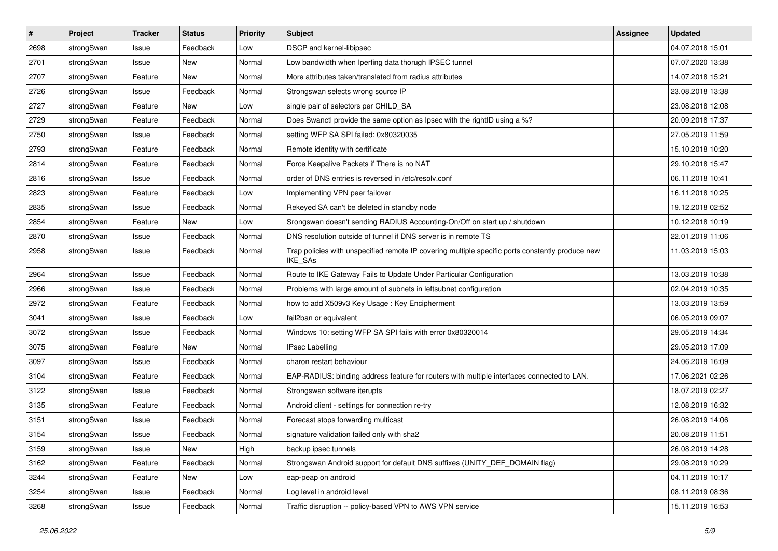| $\vert$ # | Project    | <b>Tracker</b> | <b>Status</b> | <b>Priority</b> | <b>Subject</b>                                                                                              | <b>Assignee</b> | <b>Updated</b>   |
|-----------|------------|----------------|---------------|-----------------|-------------------------------------------------------------------------------------------------------------|-----------------|------------------|
| 2698      | strongSwan | Issue          | Feedback      | Low             | DSCP and kernel-libipsec                                                                                    |                 | 04.07.2018 15:01 |
| 2701      | strongSwan | Issue          | New           | Normal          | Low bandwidth when Iperfing data thorugh IPSEC tunnel                                                       |                 | 07.07.2020 13:38 |
| 2707      | strongSwan | Feature        | New           | Normal          | More attributes taken/translated from radius attributes                                                     |                 | 14.07.2018 15:21 |
| 2726      | strongSwan | Issue          | Feedback      | Normal          | Strongswan selects wrong source IP                                                                          |                 | 23.08.2018 13:38 |
| 2727      | strongSwan | Feature        | New           | Low             | single pair of selectors per CHILD_SA                                                                       |                 | 23.08.2018 12:08 |
| 2729      | strongSwan | Feature        | Feedback      | Normal          | Does Swanctl provide the same option as Ipsec with the rightID using a %?                                   |                 | 20.09.2018 17:37 |
| 2750      | strongSwan | Issue          | Feedback      | Normal          | setting WFP SA SPI failed: 0x80320035                                                                       |                 | 27.05.2019 11:59 |
| 2793      | strongSwan | Feature        | Feedback      | Normal          | Remote identity with certificate                                                                            |                 | 15.10.2018 10:20 |
| 2814      | strongSwan | Feature        | Feedback      | Normal          | Force Keepalive Packets if There is no NAT                                                                  |                 | 29.10.2018 15:47 |
| 2816      | strongSwan | Issue          | Feedback      | Normal          | order of DNS entries is reversed in /etc/resolv.conf                                                        |                 | 06.11.2018 10:41 |
| 2823      | strongSwan | Feature        | Feedback      | Low             | Implementing VPN peer failover                                                                              |                 | 16.11.2018 10:25 |
| 2835      | strongSwan | Issue          | Feedback      | Normal          | Rekeyed SA can't be deleted in standby node                                                                 |                 | 19.12.2018 02:52 |
| 2854      | strongSwan | Feature        | New           | Low             | Srongswan doesn't sending RADIUS Accounting-On/Off on start up / shutdown                                   |                 | 10.12.2018 10:19 |
| 2870      | strongSwan | Issue          | Feedback      | Normal          | DNS resolution outside of tunnel if DNS server is in remote TS                                              |                 | 22.01.2019 11:06 |
| 2958      | strongSwan | Issue          | Feedback      | Normal          | Trap policies with unspecified remote IP covering multiple specific ports constantly produce new<br>IKE_SAs |                 | 11.03.2019 15:03 |
| 2964      | strongSwan | Issue          | Feedback      | Normal          | Route to IKE Gateway Fails to Update Under Particular Configuration                                         |                 | 13.03.2019 10:38 |
| 2966      | strongSwan | Issue          | Feedback      | Normal          | Problems with large amount of subnets in leftsubnet configuration                                           |                 | 02.04.2019 10:35 |
| 2972      | strongSwan | Feature        | Feedback      | Normal          | how to add X509v3 Key Usage: Key Encipherment                                                               |                 | 13.03.2019 13:59 |
| 3041      | strongSwan | Issue          | Feedback      | Low             | fail2ban or equivalent                                                                                      |                 | 06.05.2019 09:07 |
| 3072      | strongSwan | Issue          | Feedback      | Normal          | Windows 10: setting WFP SA SPI fails with error 0x80320014                                                  |                 | 29.05.2019 14:34 |
| 3075      | strongSwan | Feature        | New           | Normal          | <b>IPsec Labelling</b>                                                                                      |                 | 29.05.2019 17:09 |
| 3097      | strongSwan | Issue          | Feedback      | Normal          | charon restart behaviour                                                                                    |                 | 24.06.2019 16:09 |
| 3104      | strongSwan | Feature        | Feedback      | Normal          | EAP-RADIUS: binding address feature for routers with multiple interfaces connected to LAN.                  |                 | 17.06.2021 02:26 |
| 3122      | strongSwan | Issue          | Feedback      | Normal          | Strongswan software iterupts                                                                                |                 | 18.07.2019 02:27 |
| 3135      | strongSwan | Feature        | Feedback      | Normal          | Android client - settings for connection re-try                                                             |                 | 12.08.2019 16:32 |
| 3151      | strongSwan | Issue          | Feedback      | Normal          | Forecast stops forwarding multicast                                                                         |                 | 26.08.2019 14:06 |
| 3154      | strongSwan | Issue          | Feedback      | Normal          | signature validation failed only with sha2                                                                  |                 | 20.08.2019 11:51 |
| 3159      | strongSwan | Issue          | New           | High            | backup ipsec tunnels                                                                                        |                 | 26.08.2019 14:28 |
| 3162      | strongSwan | Feature        | Feedback      | Normal          | Strongswan Android support for default DNS suffixes (UNITY_DEF_DOMAIN flag)                                 |                 | 29.08.2019 10:29 |
| 3244      | strongSwan | Feature        | New           | Low             | eap-peap on android                                                                                         |                 | 04.11.2019 10:17 |
| 3254      | strongSwan | Issue          | Feedback      | Normal          | Log level in android level                                                                                  |                 | 08.11.2019 08:36 |
| 3268      | strongSwan | Issue          | Feedback      | Normal          | Traffic disruption -- policy-based VPN to AWS VPN service                                                   |                 | 15.11.2019 16:53 |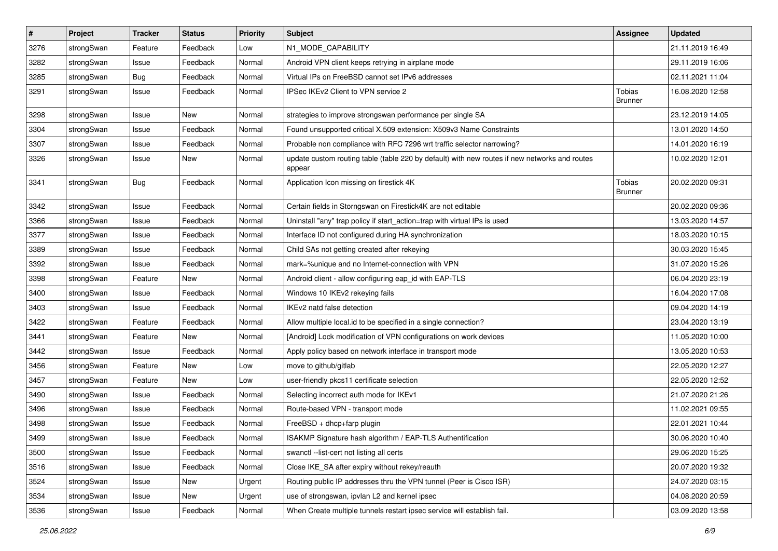| $\vert$ # | Project    | <b>Tracker</b> | <b>Status</b> | <b>Priority</b> | Subject                                                                                                 | <b>Assignee</b>                 | <b>Updated</b>   |
|-----------|------------|----------------|---------------|-----------------|---------------------------------------------------------------------------------------------------------|---------------------------------|------------------|
| 3276      | strongSwan | Feature        | Feedback      | Low             | N1_MODE_CAPABILITY                                                                                      |                                 | 21.11.2019 16:49 |
| 3282      | strongSwan | Issue          | Feedback      | Normal          | Android VPN client keeps retrying in airplane mode                                                      |                                 | 29.11.2019 16:06 |
| 3285      | strongSwan | <b>Bug</b>     | Feedback      | Normal          | Virtual IPs on FreeBSD cannot set IPv6 addresses                                                        |                                 | 02.11.2021 11:04 |
| 3291      | strongSwan | Issue          | Feedback      | Normal          | IPSec IKEv2 Client to VPN service 2                                                                     | <b>Tobias</b><br><b>Brunner</b> | 16.08.2020 12:58 |
| 3298      | strongSwan | Issue          | New           | Normal          | strategies to improve strongswan performance per single SA                                              |                                 | 23.12.2019 14:05 |
| 3304      | strongSwan | Issue          | Feedback      | Normal          | Found unsupported critical X.509 extension: X509v3 Name Constraints                                     |                                 | 13.01.2020 14:50 |
| 3307      | strongSwan | Issue          | Feedback      | Normal          | Probable non compliance with RFC 7296 wrt traffic selector narrowing?                                   |                                 | 14.01.2020 16:19 |
| 3326      | strongSwan | Issue          | <b>New</b>    | Normal          | update custom routing table (table 220 by default) with new routes if new networks and routes<br>appear |                                 | 10.02.2020 12:01 |
| 3341      | strongSwan | Bug            | Feedback      | Normal          | Application Icon missing on firestick 4K                                                                | Tobias<br><b>Brunner</b>        | 20.02.2020 09:31 |
| 3342      | strongSwan | Issue          | Feedback      | Normal          | Certain fields in Storngswan on Firestick4K are not editable                                            |                                 | 20.02.2020 09:36 |
| 3366      | strongSwan | Issue          | Feedback      | Normal          | Uninstall "any" trap policy if start_action=trap with virtual IPs is used                               |                                 | 13.03.2020 14:57 |
| 3377      | strongSwan | Issue          | Feedback      | Normal          | Interface ID not configured during HA synchronization                                                   |                                 | 18.03.2020 10:15 |
| 3389      | strongSwan | Issue          | Feedback      | Normal          | Child SAs not getting created after rekeying                                                            |                                 | 30.03.2020 15:45 |
| 3392      | strongSwan | Issue          | Feedback      | Normal          | mark=%unique and no Internet-connection with VPN                                                        |                                 | 31.07.2020 15:26 |
| 3398      | strongSwan | Feature        | New           | Normal          | Android client - allow configuring eap_id with EAP-TLS                                                  |                                 | 06.04.2020 23:19 |
| 3400      | strongSwan | Issue          | Feedback      | Normal          | Windows 10 IKEv2 rekeying fails                                                                         |                                 | 16.04.2020 17:08 |
| 3403      | strongSwan | Issue          | Feedback      | Normal          | IKEv2 natd false detection                                                                              |                                 | 09.04.2020 14:19 |
| 3422      | strongSwan | Feature        | Feedback      | Normal          | Allow multiple local.id to be specified in a single connection?                                         |                                 | 23.04.2020 13:19 |
| 3441      | strongSwan | Feature        | New           | Normal          | [Android] Lock modification of VPN configurations on work devices                                       |                                 | 11.05.2020 10:00 |
| 3442      | strongSwan | Issue          | Feedback      | Normal          | Apply policy based on network interface in transport mode                                               |                                 | 13.05.2020 10:53 |
| 3456      | strongSwan | Feature        | New           | Low             | move to github/gitlab                                                                                   |                                 | 22.05.2020 12:27 |
| 3457      | strongSwan | Feature        | New           | Low             | user-friendly pkcs11 certificate selection                                                              |                                 | 22.05.2020 12:52 |
| 3490      | strongSwan | Issue          | Feedback      | Normal          | Selecting incorrect auth mode for IKEv1                                                                 |                                 | 21.07.2020 21:26 |
| 3496      | strongSwan | Issue          | Feedback      | Normal          | Route-based VPN - transport mode                                                                        |                                 | 11.02.2021 09:55 |
| 3498      | strongSwan | Issue          | Feedback      | Normal          | FreeBSD + dhcp+farp plugin                                                                              |                                 | 22.01.2021 10:44 |
| 3499      | strongSwan | Issue          | Feedback      | Normal          | ISAKMP Signature hash algorithm / EAP-TLS Authentification                                              |                                 | 30.06.2020 10:40 |
| 3500      | strongSwan | Issue          | Feedback      | Normal          | swanctl --list-cert not listing all certs                                                               |                                 | 29.06.2020 15:25 |
| 3516      | strongSwan | Issue          | Feedback      | Normal          | Close IKE SA after expiry without rekey/reauth                                                          |                                 | 20.07.2020 19:32 |
| 3524      | strongSwan | Issue          | New           | Urgent          | Routing public IP addresses thru the VPN tunnel (Peer is Cisco ISR)                                     |                                 | 24.07.2020 03:15 |
| 3534      | strongSwan | Issue          | New           | Urgent          | use of strongswan, ipvlan L2 and kernel ipsec                                                           |                                 | 04.08.2020 20:59 |
| 3536      | strongSwan | Issue          | Feedback      | Normal          | When Create multiple tunnels restart ipsec service will establish fail.                                 |                                 | 03.09.2020 13:58 |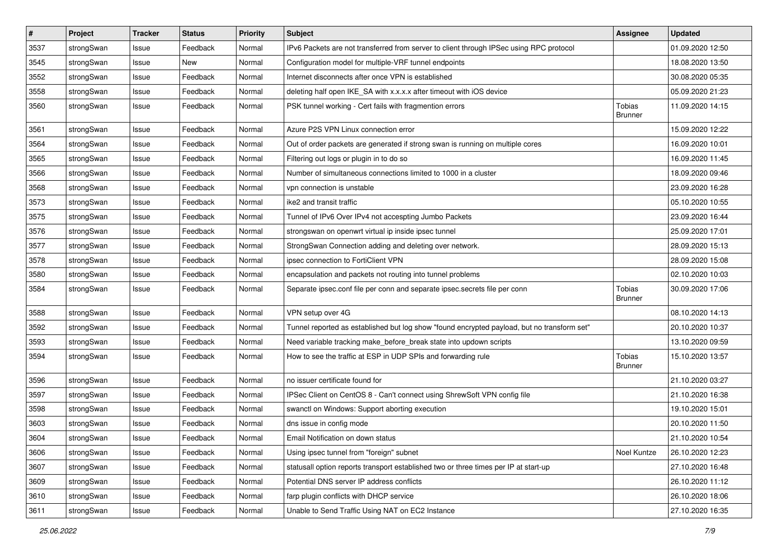| $\vert$ # | Project    | <b>Tracker</b> | <b>Status</b> | Priority | <b>Subject</b>                                                                              | <b>Assignee</b>          | <b>Updated</b>   |
|-----------|------------|----------------|---------------|----------|---------------------------------------------------------------------------------------------|--------------------------|------------------|
| 3537      | strongSwan | Issue          | Feedback      | Normal   | IPv6 Packets are not transferred from server to client through IPSec using RPC protocol     |                          | 01.09.2020 12:50 |
| 3545      | strongSwan | Issue          | New           | Normal   | Configuration model for multiple-VRF tunnel endpoints                                       |                          | 18.08.2020 13:50 |
| 3552      | strongSwan | Issue          | Feedback      | Normal   | Internet disconnects after once VPN is established                                          |                          | 30.08.2020 05:35 |
| 3558      | strongSwan | Issue          | Feedback      | Normal   | deleting half open IKE_SA with x.x.x.x after timeout with iOS device                        |                          | 05.09.2020 21:23 |
| 3560      | strongSwan | Issue          | Feedback      | Normal   | PSK tunnel working - Cert fails with fragmention errors                                     | Tobias<br><b>Brunner</b> | 11.09.2020 14:15 |
| 3561      | strongSwan | Issue          | Feedback      | Normal   | Azure P2S VPN Linux connection error                                                        |                          | 15.09.2020 12:22 |
| 3564      | strongSwan | Issue          | Feedback      | Normal   | Out of order packets are generated if strong swan is running on multiple cores              |                          | 16.09.2020 10:01 |
| 3565      | strongSwan | Issue          | Feedback      | Normal   | Filtering out logs or plugin in to do so                                                    |                          | 16.09.2020 11:45 |
| 3566      | strongSwan | Issue          | Feedback      | Normal   | Number of simultaneous connections limited to 1000 in a cluster                             |                          | 18.09.2020 09:46 |
| 3568      | strongSwan | Issue          | Feedback      | Normal   | vpn connection is unstable                                                                  |                          | 23.09.2020 16:28 |
| 3573      | strongSwan | Issue          | Feedback      | Normal   | ike2 and transit traffic                                                                    |                          | 05.10.2020 10:55 |
| 3575      | strongSwan | Issue          | Feedback      | Normal   | Tunnel of IPv6 Over IPv4 not accespting Jumbo Packets                                       |                          | 23.09.2020 16:44 |
| 3576      | strongSwan | Issue          | Feedback      | Normal   | strongswan on openwrt virtual ip inside ipsec tunnel                                        |                          | 25.09.2020 17:01 |
| 3577      | strongSwan | Issue          | Feedback      | Normal   | StrongSwan Connection adding and deleting over network.                                     |                          | 28.09.2020 15:13 |
| 3578      | strongSwan | Issue          | Feedback      | Normal   | ipsec connection to FortiClient VPN                                                         |                          | 28.09.2020 15:08 |
| 3580      | strongSwan | Issue          | Feedback      | Normal   | encapsulation and packets not routing into tunnel problems                                  |                          | 02.10.2020 10:03 |
| 3584      | strongSwan | Issue          | Feedback      | Normal   | Separate ipsec.conf file per conn and separate ipsec.secrets file per conn                  | Tobias<br><b>Brunner</b> | 30.09.2020 17:06 |
| 3588      | strongSwan | Issue          | Feedback      | Normal   | VPN setup over 4G                                                                           |                          | 08.10.2020 14:13 |
| 3592      | strongSwan | Issue          | Feedback      | Normal   | Tunnel reported as established but log show "found encrypted payload, but no transform set" |                          | 20.10.2020 10:37 |
| 3593      | strongSwan | Issue          | Feedback      | Normal   | Need variable tracking make_before_break state into updown scripts                          |                          | 13.10.2020 09:59 |
| 3594      | strongSwan | Issue          | Feedback      | Normal   | How to see the traffic at ESP in UDP SPIs and forwarding rule                               | Tobias<br><b>Brunner</b> | 15.10.2020 13:57 |
| 3596      | strongSwan | Issue          | Feedback      | Normal   | no issuer certificate found for                                                             |                          | 21.10.2020 03:27 |
| 3597      | strongSwan | Issue          | Feedback      | Normal   | IPSec Client on CentOS 8 - Can't connect using ShrewSoft VPN config file                    |                          | 21.10.2020 16:38 |
| 3598      | strongSwan | Issue          | Feedback      | Normal   | swanctl on Windows: Support aborting execution                                              |                          | 19.10.2020 15:01 |
| 3603      | strongSwan | Issue          | Feedback      | Normal   | dns issue in config mode                                                                    |                          | 20.10.2020 11:50 |
| 3604      | strongSwan | Issue          | Feedback      | Normal   | Email Notification on down status                                                           |                          | 21.10.2020 10:54 |
| 3606      | strongSwan | Issue          | Feedback      | Normal   | Using ipsec tunnel from "foreign" subnet                                                    | Noel Kuntze              | 26.10.2020 12:23 |
| 3607      | strongSwan | Issue          | Feedback      | Normal   | statusall option reports transport established two or three times per IP at start-up        |                          | 27.10.2020 16:48 |
| 3609      | strongSwan | Issue          | Feedback      | Normal   | Potential DNS server IP address conflicts                                                   |                          | 26.10.2020 11:12 |
| 3610      | strongSwan | Issue          | Feedback      | Normal   | farp plugin conflicts with DHCP service                                                     |                          | 26.10.2020 18:06 |
| 3611      | strongSwan | Issue          | Feedback      | Normal   | Unable to Send Traffic Using NAT on EC2 Instance                                            |                          | 27.10.2020 16:35 |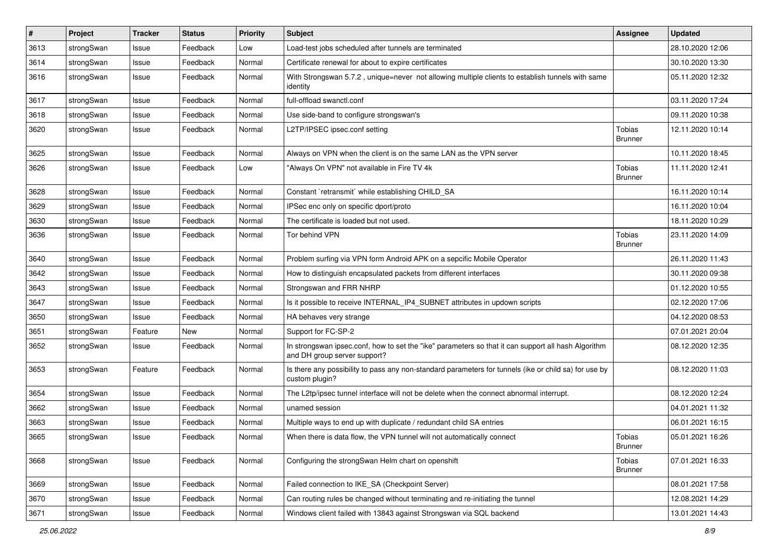| $\sharp$ | Project    | <b>Tracker</b> | <b>Status</b> | <b>Priority</b> | <b>Subject</b>                                                                                                                      | <b>Assignee</b>          | <b>Updated</b>   |
|----------|------------|----------------|---------------|-----------------|-------------------------------------------------------------------------------------------------------------------------------------|--------------------------|------------------|
| 3613     | strongSwan | Issue          | Feedback      | Low             | Load-test jobs scheduled after tunnels are terminated                                                                               |                          | 28.10.2020 12:06 |
| 3614     | strongSwan | Issue          | Feedback      | Normal          | Certificate renewal for about to expire certificates                                                                                |                          | 30.10.2020 13:30 |
| 3616     | strongSwan | Issue          | Feedback      | Normal          | With Strongswan 5.7.2, unique=never not allowing multiple clients to establish tunnels with same<br>identity                        |                          | 05.11.2020 12:32 |
| 3617     | strongSwan | Issue          | Feedback      | Normal          | full-offload swanctl.conf                                                                                                           |                          | 03.11.2020 17:24 |
| 3618     | strongSwan | Issue          | Feedback      | Normal          | Use side-band to configure strongswan's                                                                                             |                          | 09.11.2020 10:38 |
| 3620     | strongSwan | Issue          | Feedback      | Normal          | L2TP/IPSEC ipsec.conf setting                                                                                                       | Tobias<br>Brunner        | 12.11.2020 10:14 |
| 3625     | strongSwan | Issue          | Feedback      | Normal          | Always on VPN when the client is on the same LAN as the VPN server                                                                  |                          | 10.11.2020 18:45 |
| 3626     | strongSwan | Issue          | Feedback      | Low             | "Always On VPN" not available in Fire TV 4k                                                                                         | Tobias<br><b>Brunner</b> | 11.11.2020 12:41 |
| 3628     | strongSwan | Issue          | Feedback      | Normal          | Constant `retransmit` while establishing CHILD_SA                                                                                   |                          | 16.11.2020 10:14 |
| 3629     | strongSwan | Issue          | Feedback      | Normal          | IPSec enc only on specific dport/proto                                                                                              |                          | 16.11.2020 10:04 |
| 3630     | strongSwan | Issue          | Feedback      | Normal          | The certificate is loaded but not used.                                                                                             |                          | 18.11.2020 10:29 |
| 3636     | strongSwan | Issue          | Feedback      | Normal          | Tor behind VPN                                                                                                                      | Tobias<br>Brunner        | 23.11.2020 14:09 |
| 3640     | strongSwan | Issue          | Feedback      | Normal          | Problem surfing via VPN form Android APK on a sepcific Mobile Operator                                                              |                          | 26.11.2020 11:43 |
| 3642     | strongSwan | Issue          | Feedback      | Normal          | How to distinguish encapsulated packets from different interfaces                                                                   |                          | 30.11.2020 09:38 |
| 3643     | strongSwan | Issue          | Feedback      | Normal          | Strongswan and FRR NHRP                                                                                                             |                          | 01.12.2020 10:55 |
| 3647     | strongSwan | Issue          | Feedback      | Normal          | Is it possible to receive INTERNAL_IP4_SUBNET attributes in updown scripts                                                          |                          | 02.12.2020 17:06 |
| 3650     | strongSwan | Issue          | Feedback      | Normal          | HA behaves very strange                                                                                                             |                          | 04.12.2020 08:53 |
| 3651     | strongSwan | Feature        | New           | Normal          | Support for FC-SP-2                                                                                                                 |                          | 07.01.2021 20:04 |
| 3652     | strongSwan | Issue          | Feedback      | Normal          | In strongswan ipsec.conf, how to set the "ike" parameters so that it can support all hash Algorithm<br>and DH group server support? |                          | 08.12.2020 12:35 |
| 3653     | strongSwan | Feature        | Feedback      | Normal          | Is there any possibility to pass any non-standard parameters for tunnels (ike or child sa) for use by<br>custom plugin?             |                          | 08.12.2020 11:03 |
| 3654     | strongSwan | Issue          | Feedback      | Normal          | The L2tp/ipsec tunnel interface will not be delete when the connect abnormal interrupt.                                             |                          | 08.12.2020 12:24 |
| 3662     | strongSwan | Issue          | Feedback      | Normal          | unamed session                                                                                                                      |                          | 04.01.2021 11:32 |
| 3663     | strongSwan | Issue          | Feedback      | Normal          | Multiple ways to end up with duplicate / redundant child SA entries                                                                 |                          | 06.01.2021 16:15 |
| 3665     | strongSwan | Issue          | Feedback      | Normal          | When there is data flow, the VPN tunnel will not automatically connect                                                              | Tobias<br><b>Brunner</b> | 05.01.2021 16:26 |
| 3668     | strongSwan | Issue          | Feedback      | Normal          | Configuring the strongSwan Helm chart on openshift                                                                                  | Tobias<br><b>Brunner</b> | 07.01.2021 16:33 |
| 3669     | strongSwan | Issue          | Feedback      | Normal          | Failed connection to IKE_SA (Checkpoint Server)                                                                                     |                          | 08.01.2021 17:58 |
| 3670     | strongSwan | Issue          | Feedback      | Normal          | Can routing rules be changed without terminating and re-initiating the tunnel                                                       |                          | 12.08.2021 14:29 |
| 3671     | strongSwan | Issue          | Feedback      | Normal          | Windows client failed with 13843 against Strongswan via SQL backend                                                                 |                          | 13.01.2021 14:43 |